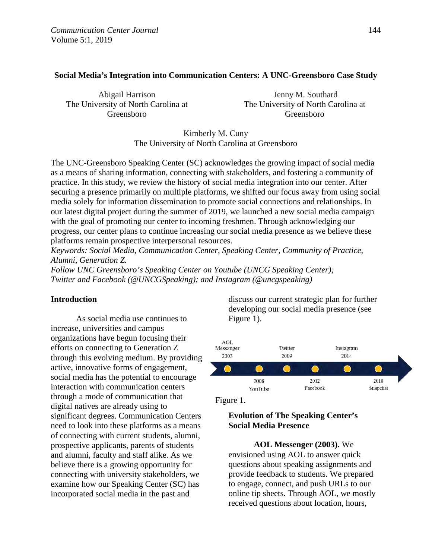#### **Social Media's Integration into Communication Centers: A UNC-Greensboro Case Study**

Abigail Harrison The University of North Carolina at Greensboro

 Jenny M. Southard The University of North Carolina at Greensboro

Kimberly M. Cuny The University of North Carolina at Greensboro

The UNC-Greensboro Speaking Center (SC) acknowledges the growing impact of social media as a means of sharing information, connecting with stakeholders, and fostering a community of practice. In this study, we review the history of social media integration into our center. After securing a presence primarily on multiple platforms, we shifted our focus away from using social media solely for information dissemination to promote social connections and relationships. In our latest digital project during the summer of 2019, we launched a new social media campaign with the goal of promoting our center to incoming freshmen. Through acknowledging our progress, our center plans to continue increasing our social media presence as we believe these platforms remain prospective interpersonal resources.

*Keywords: Social Media, Communication Center, Speaking Center, Community of Practice, Alumni, Generation Z.* 

*Follow UNC Greensboro's Speaking Center on Youtube (UNCG Speaking Center); Twitter and Facebook (@UNCGSpeaking); and Instagram (@uncgspeaking)*

## **Introduction**

As social media use continues to increase, universities and campus organizations have begun focusing their efforts on connecting to Generation Z through this evolving medium. By providing active, innovative forms of engagement, social media has the potential to encourage interaction with communication centers through a mode of communication that digital natives are already using to significant degrees. Communication Centers need to look into these platforms as a means of connecting with current students, alumni, prospective applicants, parents of students and alumni, faculty and staff alike. As we believe there is a growing opportunity for connecting with university stakeholders, we examine how our Speaking Center (SC) has incorporated social media in the past and

discuss our current strategic plan for further developing our social media presence (see Figure 1).



Figure 1.

# **Evolution of The Speaking Center's Social Media Presence**

**AOL Messenger (2003).** We envisioned using AOL to answer quick questions about speaking assignments and provide feedback to students. We prepared to engage, connect, and push URLs to our online tip sheets. Through AOL, we mostly received questions about location, hours,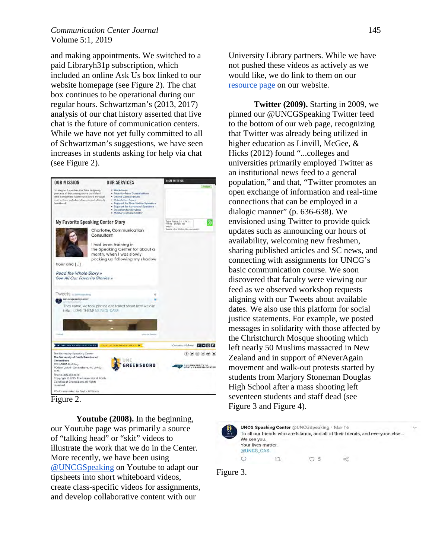### *Communication Center Journal* 145 Volume 5:1, 2019

and making appointments. We switched to a paid Libraryh31p subscription, which included an online Ask Us box linked to our website homepage (see Figure 2). The chat box continues to be operational during our regular hours. Schwartzman's (2013, 2017) analysis of our chat history asserted that live chat is the future of communication centers. While we have not yet fully committed to all of Schwartzman's suggestions, we have seen increases in students asking for help via chat (see Figure 2).



# Figure 2.

**Youtube (2008).** In the beginning, our Youtube page was primarily a source of "talking head" or "skit" videos to illustrate the work that we do in the Center. More recently, we have been using [@UNCGSpeaking](https://www.youtube.com/channel/UCGYHSX6_u8MdBk1b93_fpKw/featured) on Youtube to adapt our tipsheets into short whiteboard videos, create class-specific videos for assignments, and develop collaborative content with our

University Library partners. While we have not pushed these videos as actively as we would like, we do link to them on our [resource page](https://speakingcenter.uncg.edu/support-for-students/public-speaking-videos-2/) on our website.

**Twitter (2009).** Starting in 2009, we pinned our @UNCGSpeaking Twitter feed to the bottom of our web page, recognizing that Twitter was already being utilized in higher education as Linvill, McGee, & Hicks (2012) found "...colleges and universities primarily employed Twitter as an institutional news feed to a general population," and that, "Twitter promotes an open exchange of information and real-time connections that can be employed in a dialogic manner" (p. 636-638). We envisioned using Twitter to provide quick updates such as announcing our hours of availability, welcoming new freshmen, sharing published articles and SC news, and connecting with assignments for UNCG's basic communication course. We soon discovered that faculty were viewing our feed as we observed workshop requests aligning with our Tweets about available dates. We also use this platform for social justice statements. For example, we posted messages in solidarity with those affected by the Christchurch Mosque shooting which left nearly 50 Muslims massacred in New Zealand and in support of #NeverAgain movement and walk-out protests started by students from Marjory Stoneman Douglas High School after a mass shooting left seventeen students and staff dead (see Figure 3 and Figure 4).



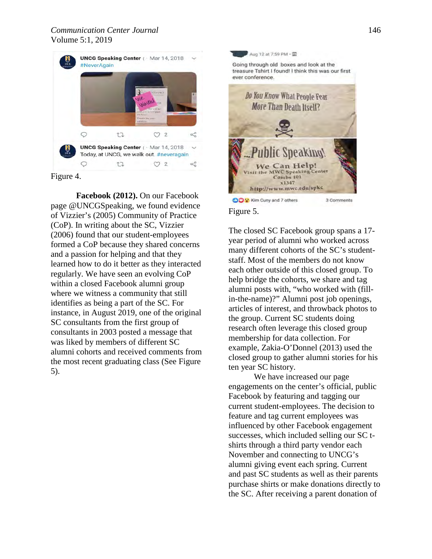## *Communication Center Journal* 146 Volume 5:1, 2019



Figure 4.

**Facebook (2012).** On our Facebook page @UNCGSpeaking, we found evidence of Vizzier's (2005) Community of Practice (CoP). In writing about the SC, Vizzier (2006) found that our student-employees formed a CoP because they shared concerns and a passion for helping and that they learned how to do it better as they interacted regularly. We have seen an evolving CoP within a closed Facebook alumni group where we witness a community that still identifies as being a part of the SC. For instance, in August 2019, one of the original SC consultants from the first group of consultants in 2003 posted a message that was liked by members of different SC alumni cohorts and received comments from the most recent graduating class (See Figure 5).



Figure 5.

The closed SC Facebook group spans a 17 year period of alumni who worked across many different cohorts of the SC's studentstaff. Most of the members do not know each other outside of this closed group. To help bridge the cohorts, we share and tag alumni posts with, "who worked with (fillin-the-name)?" Alumni post job openings, articles of interest, and throwback photos to the group. Current SC students doing research often leverage this closed group membership for data collection. For example, Zakia-O'Donnel (2013) used the closed group to gather alumni stories for his ten year SC history.

We have increased our page engagements on the center's official, public Facebook by featuring and tagging our current student-employees. The decision to feature and tag current employees was influenced by other Facebook engagement successes, which included selling our SC tshirts through a third party vendor each November and connecting to UNCG's alumni giving event each spring. Current and past SC students as well as their parents purchase shirts or make donations directly to the SC. After receiving a parent donation of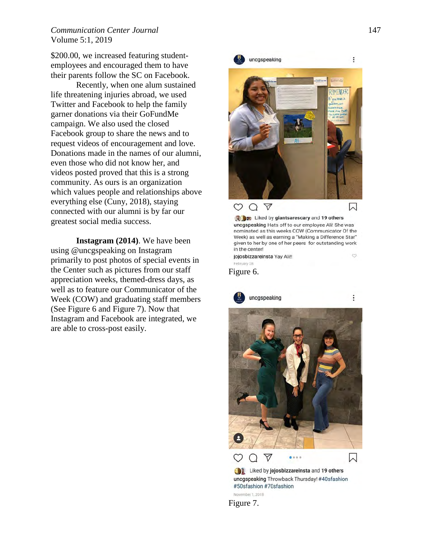## *Communication Center Journal* 147 Volume 5:1, 2019

\$200.00, we increased featuring studentemployees and encouraged them to have their parents follow the SC on Facebook.

Recently, when one alum sustained life threatening injuries abroad, we used Twitter and Facebook to help the family garner donations via their GoFundMe campaign. We also used the closed Facebook group to share the news and to request videos of encouragement and love. Donations made in the names of our alumni, even those who did not know her, and videos posted proved that this is a strong community. As ours is an organization which values people and relationships above everything else (Cuny, 2018), staying connected with our alumni is by far our greatest social media success.

**Instagram (2014)**. We have been using @uncgspeaking on Instagram primarily to post photos of special events in the Center such as pictures from our staff appreciation weeks, themed-dress days, as well as to feature our Communicator of the Week (COW) and graduating staff members (See Figure 6 and Figure 7). Now that Instagram and Facebook are integrated, we are able to cross-post easily.

 $\vdots$ uncgspeaking  $\Omega$  $\infty$  $\triangledown$ 岗 **Q** E Liked by giantsarescary and 19 others uncgspeaking Hats off to our employee Ali! She was nominated as this weeks COW (Communicator Of the Week) as well as earning a "Making a Difference Star" given to her by one of her peers for outstanding work in the center! jojosbizzareinsta Yay Ali!!  $\circ$ 

February 28<br>Figure 6.



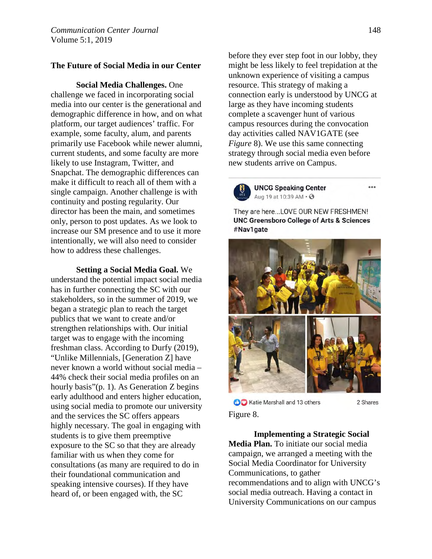### **The Future of Social Media in our Center**

**Social Media Challenges.** One challenge we faced in incorporating social media into our center is the generational and demographic difference in how, and on what platform, our target audiences' traffic. For example, some faculty, alum, and parents primarily use Facebook while newer alumni, current students, and some faculty are more likely to use Instagram, Twitter, and Snapchat. The demographic differences can make it difficult to reach all of them with a single campaign. Another challenge is with continuity and posting regularity. Our director has been the main, and sometimes only, person to post updates. As we look to increase our SM presence and to use it more intentionally, we will also need to consider how to address these challenges.

### **Setting a Social Media Goal.** We

understand the potential impact social media has in further connecting the SC with our stakeholders, so in the summer of 2019, we began a strategic plan to reach the target publics that we want to create and/or strengthen relationships with. Our initial target was to engage with the incoming freshman class. According to Durfy (2019), "Unlike Millennials, [Generation Z] have never known a world without social media – 44% check their social media profiles on an hourly basis"(p. 1). As Generation Z begins early adulthood and enters higher education, using social media to promote our university and the services the SC offers appears highly necessary. The goal in engaging with students is to give them preemptive exposure to the SC so that they are already familiar with us when they come for consultations (as many are required to do in their foundational communication and speaking intensive courses). If they have heard of, or been engaged with, the SC

before they ever step foot in our lobby, they might be less likely to feel trepidation at the unknown experience of visiting a campus resource. This strategy of making a connection early is understood by UNCG at large as they have incoming students complete a scavenger hunt of various campus resources during the convocation day activities called NAV1GATE (see *Figure* 8). We use this same connecting strategy through social media even before new students arrive on Campus.



**UNCG Speaking Center** Aug 19 at 10:39 AM . @

They are here...LOVE OUR NEW FRESHMEN! **UNC Greensboro College of Arts & Sciences** #Nav1gate



**OD** Katie Marshall and 13 others

Figure 8.

2 Shares

**Implementing a Strategic Social Media Plan.** To initiate our social media campaign, we arranged a meeting with the Social Media Coordinator for University Communications, to gather recommendations and to align with UNCG's social media outreach. Having a contact in University Communications on our campus

...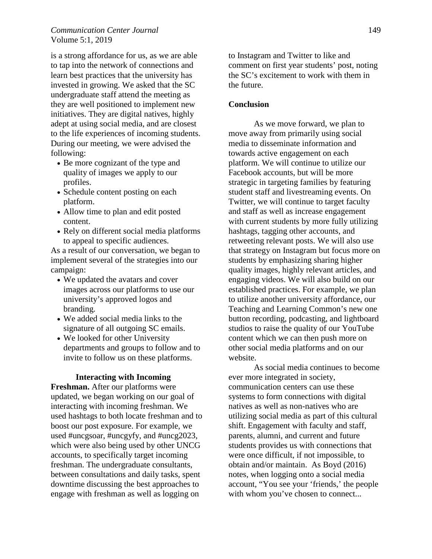## *Communication Center Journal* 149 Volume 5:1, 2019

is a strong affordance for us, as we are able to tap into the network of connections and learn best practices that the university has invested in growing. We asked that the SC undergraduate staff attend the meeting as they are well positioned to implement new initiatives. They are digital natives, highly adept at using social media, and are closest to the life experiences of incoming students. During our meeting, we were advised the following:

- Be more cognizant of the type and quality of images we apply to our profiles.
- Schedule content posting on each platform.
- Allow time to plan and edit posted content.
- Rely on different social media platforms to appeal to specific audiences.

As a result of our conversation, we began to implement several of the strategies into our campaign:

- We updated the avatars and cover images across our platforms to use our university's approved logos and branding.
- We added social media links to the signature of all outgoing SC emails.
- We looked for other University departments and groups to follow and to invite to follow us on these platforms.

#### **Interacting with Incoming**

**Freshman.** After our platforms were updated, we began working on our goal of interacting with incoming freshman. We used hashtags to both locate freshman and to boost our post exposure. For example, we used #uncgsoar, #uncgyfy, and #uncg2023, which were also being used by other UNCG accounts, to specifically target incoming freshman. The undergraduate consultants, between consultations and daily tasks, spent downtime discussing the best approaches to engage with freshman as well as logging on

to Instagram and Twitter to like and comment on first year students' post, noting the SC's excitement to work with them in the future.

#### **Conclusion**

As we move forward, we plan to move away from primarily using social media to disseminate information and towards active engagement on each platform. We will continue to utilize our Facebook accounts, but will be more strategic in targeting families by featuring student staff and livestreaming events. On Twitter, we will continue to target faculty and staff as well as increase engagement with current students by more fully utilizing hashtags, tagging other accounts, and retweeting relevant posts. We will also use that strategy on Instagram but focus more on students by emphasizing sharing higher quality images, highly relevant articles, and engaging videos. We will also build on our established practices. For example, we plan to utilize another university affordance, our Teaching and Learning Common's new one button recording, podcasting, and lightboard studios to raise the quality of our YouTube content which we can then push more on other social media platforms and on our website.

As social media continues to become ever more integrated in society, communication centers can use these systems to form connections with digital natives as well as non-natives who are utilizing social media as part of this cultural shift. Engagement with faculty and staff, parents, alumni, and current and future students provides us with connections that were once difficult, if not impossible, to obtain and/or maintain. As Boyd (2016) notes, when logging onto a social media account, "You see your 'friends,' the people with whom you've chosen to connect...